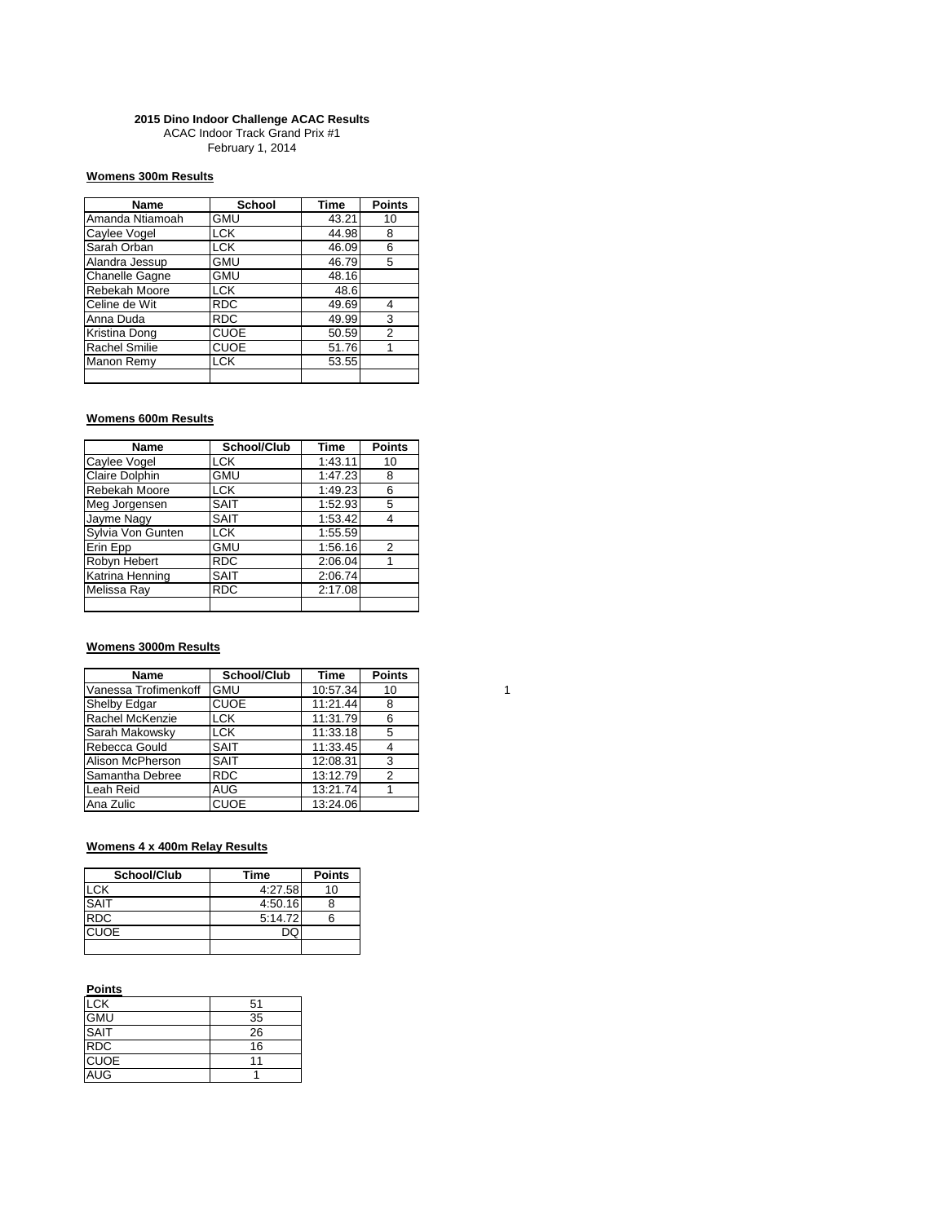#### **2015 Dino Indoor Challenge ACAC Results**

ACAC Indoor Track Grand Prix #1 February 1, 2014

## **Womens 300m Results**

| Name                  | <b>School</b> | <b>Time</b> | <b>Points</b> |
|-----------------------|---------------|-------------|---------------|
| Amanda Ntiamoah       | <b>GMU</b>    | 43.21       | 10            |
| Caylee Vogel          | <b>LCK</b>    | 44.98       | 8             |
| Sarah Orban           | <b>LCK</b>    | 46.09       | 6             |
| Alandra Jessup        | <b>GMU</b>    | 46.79       | 5             |
| <b>Chanelle Gagne</b> | <b>GMU</b>    | 48.16       |               |
| Rebekah Moore         | <b>LCK</b>    | 48.6        |               |
| Celine de Wit         | <b>RDC</b>    | 49.69       | 4             |
| Anna Duda             | <b>RDC</b>    | 49.99       | 3             |
| Kristina Dong         | <b>CUOE</b>   | 50.59       | 2             |
| <b>Rachel Smilie</b>  | <b>CUOE</b>   | 51.76       |               |
| Manon Remy            | <b>LCK</b>    | 53.55       |               |
|                       |               |             |               |

## **Womens 600m Results**

| Name                  | School/Club | <b>Time</b> | <b>Points</b> |
|-----------------------|-------------|-------------|---------------|
| Caylee Vogel          | LCK         | 1:43.11     | 10            |
| <b>Claire Dolphin</b> | <b>GMU</b>  | 1:47.23     | 8             |
| Rebekah Moore         | <b>LCK</b>  | 1:49.23     | 6             |
| Meg Jorgensen         | <b>SAIT</b> | 1:52.93     | 5             |
| Jayme Nagy            | <b>SAIT</b> | 1:53.42     | 4             |
| Sylvia Von Gunten     | <b>LCK</b>  | 1:55.59     |               |
| Erin Epp              | <b>GMU</b>  | 1:56.16     | 2             |
| Robyn Hebert          | <b>RDC</b>  | 2:06.04     |               |
| Katrina Henning       | <b>SAIT</b> | 2:06.74     |               |
| Melissa Ray           | <b>RDC</b>  | 2:17.08     |               |
|                       |             |             |               |

## **Womens 3000m Results**

| <b>Name</b>          | School/Club | Time     | <b>Points</b> |
|----------------------|-------------|----------|---------------|
| Vanessa Trofimenkoff | <b>GMU</b>  | 10:57.34 | 10            |
| Shelby Edgar         | <b>CUOE</b> | 11:21.44 | 8             |
| Rachel McKenzie      | <b>LCK</b>  | 11:31.79 | 6             |
| Sarah Makowsky       | <b>LCK</b>  | 11:33.18 | 5             |
| Rebecca Gould        | <b>SAIT</b> | 11:33.45 |               |
| Alison McPherson     | <b>SAIT</b> | 12:08.31 | 3             |
| Samantha Debree      | <b>RDC</b>  | 13:12.79 | 2             |
| Leah Reid            | <b>AUG</b>  | 13:21.74 |               |
| Ana Zulic            | <b>CUOE</b> | 13:24.06 |               |

# **Womens 4 x 400m Relay Results**

| School/Club | Time    | <b>Points</b> |
|-------------|---------|---------------|
| <b>LCK</b>  | 4:27.58 | 10            |
| <b>SAIT</b> | 4:50.16 |               |
| <b>RDC</b>  | 5:14.72 |               |
| <b>CUOE</b> |         |               |
|             |         |               |

### **Points**

| <b>LCK</b>  | 51 |
|-------------|----|
| <b>GMU</b>  | 35 |
| <b>SAIT</b> | 26 |
| <b>RDC</b>  | 16 |
| <b>CUOE</b> | 11 |
| <b>AUG</b>  |    |